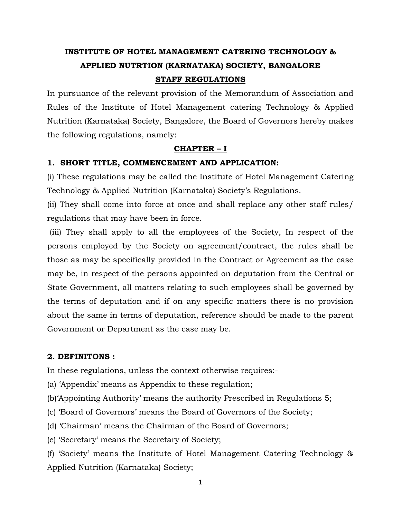# **INSTITUTE OF HOTEL MANAGEMENT CATERING TECHNOLOGY & APPLIED NUTRTION (KARNATAKA) SOCIETY, BANGALORE STAFF REGULATIONS**

In pursuance of the relevant provision of the Memorandum of Association and Rules of the Institute of Hotel Management catering Technology & Applied Nutrition (Karnataka) Society, Bangalore, the Board of Governors hereby makes the following regulations, namely:

### **CHAPTER – I**

## **1. SHORT TITLE, COMMENCEMENT AND APPLICATION:**

(i) These regulations may be called the Institute of Hotel Management Catering Technology & Applied Nutrition (Karnataka) Society's Regulations.

(ii) They shall come into force at once and shall replace any other staff rules/ regulations that may have been in force.

(iii) They shall apply to all the employees of the Society, In respect of the persons employed by the Society on agreement/contract, the rules shall be those as may be specifically provided in the Contract or Agreement as the case may be, in respect of the persons appointed on deputation from the Central or State Government, all matters relating to such employees shall be governed by the terms of deputation and if on any specific matters there is no provision about the same in terms of deputation, reference should be made to the parent Government or Department as the case may be.

## **2. DEFINITONS :**

In these regulations, unless the context otherwise requires:-

(a) 'Appendix' means as Appendix to these regulation;

(b)'Appointing Authority' means the authority Prescribed in Regulations 5;

(c) 'Board of Governors' means the Board of Governors of the Society;

(d) 'Chairman' means the Chairman of the Board of Governors;

(e) 'Secretary' means the Secretary of Society;

(f) 'Society' means the Institute of Hotel Management Catering Technology & Applied Nutrition (Karnataka) Society;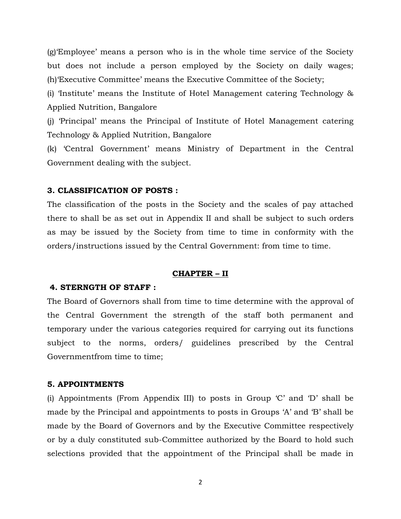(g)'Employee' means a person who is in the whole time service of the Society but does not include a person employed by the Society on daily wages; (h)'Executive Committee' means the Executive Committee of the Society;

(i) 'Institute' means the Institute of Hotel Management catering Technology & Applied Nutrition, Bangalore

(j) 'Principal' means the Principal of Institute of Hotel Management catering Technology & Applied Nutrition, Bangalore

(k) 'Central Government' means Ministry of Department in the Central Government dealing with the subject.

#### **3. CLASSIFICATION OF POSTS :**

The classification of the posts in the Society and the scales of pay attached there to shall be as set out in Appendix II and shall be subject to such orders as may be issued by the Society from time to time in conformity with the orders/instructions issued by the Central Government: from time to time.

#### **CHAPTER – II**

#### **4. STERNGTH OF STAFF :**

The Board of Governors shall from time to time determine with the approval of the Central Government the strength of the staff both permanent and temporary under the various categories required for carrying out its functions subject to the norms, orders/ guidelines prescribed by the Central Governmentfrom time to time;

#### **5. APPOINTMENTS**

(i) Appointments (From Appendix III) to posts in Group 'C' and 'D' shall be made by the Principal and appointments to posts in Groups 'A' and 'B' shall be made by the Board of Governors and by the Executive Committee respectively or by a duly constituted sub-Committee authorized by the Board to hold such selections provided that the appointment of the Principal shall be made in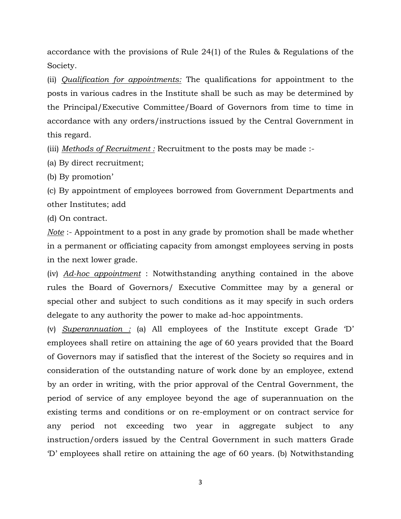accordance with the provisions of Rule 24(1) of the Rules & Regulations of the Society.

(ii) *Qualification for appointments:* The qualifications for appointment to the posts in various cadres in the Institute shall be such as may be determined by the Principal/Executive Committee/Board of Governors from time to time in accordance with any orders/instructions issued by the Central Government in this regard.

(iii) *Methods of Recruitment :* Recruitment to the posts may be made :-

(a) By direct recruitment;

(b) By promotion'

(c) By appointment of employees borrowed from Government Departments and other Institutes; add

(d) On contract.

*Note* :- Appointment to a post in any grade by promotion shall be made whether in a permanent or officiating capacity from amongst employees serving in posts in the next lower grade.

(iv) *Ad-hoc appointment* : Notwithstanding anything contained in the above rules the Board of Governors/ Executive Committee may by a general or special other and subject to such conditions as it may specify in such orders delegate to any authority the power to make ad-hoc appointments.

(v) *Superannuation :* (a) All employees of the Institute except Grade 'D' employees shall retire on attaining the age of 60 years provided that the Board of Governors may if satisfied that the interest of the Society so requires and in consideration of the outstanding nature of work done by an employee, extend by an order in writing, with the prior approval of the Central Government, the period of service of any employee beyond the age of superannuation on the existing terms and conditions or on re-employment or on contract service for any period not exceeding two year in aggregate subject to any instruction/orders issued by the Central Government in such matters Grade 'D' employees shall retire on attaining the age of 60 years. (b) Notwithstanding

3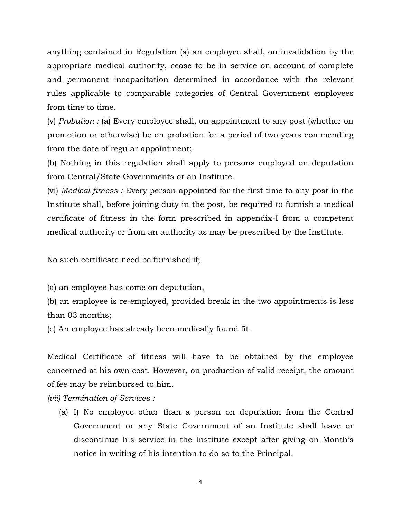anything contained in Regulation (a) an employee shall, on invalidation by the appropriate medical authority, cease to be in service on account of complete and permanent incapacitation determined in accordance with the relevant rules applicable to comparable categories of Central Government employees from time to time.

(v) *Probation :* (a) Every employee shall, on appointment to any post (whether on promotion or otherwise) be on probation for a period of two years commending from the date of regular appointment;

(b) Nothing in this regulation shall apply to persons employed on deputation from Central/State Governments or an Institute.

(vi) *Medical fitness :* Every person appointed for the first time to any post in the Institute shall, before joining duty in the post, be required to furnish a medical certificate of fitness in the form prescribed in appendix-I from a competent medical authority or from an authority as may be prescribed by the Institute.

No such certificate need be furnished if;

(a) an employee has come on deputation,

(b) an employee is re-employed, provided break in the two appointments is less than 03 months;

(c) An employee has already been medically found fit.

Medical Certificate of fitness will have to be obtained by the employee concerned at his own cost. However, on production of valid receipt, the amount of fee may be reimbursed to him.

*(vii) Termination of Services :*

(a) I) No employee other than a person on deputation from the Central Government or any State Government of an Institute shall leave or discontinue his service in the Institute except after giving on Month's notice in writing of his intention to do so to the Principal.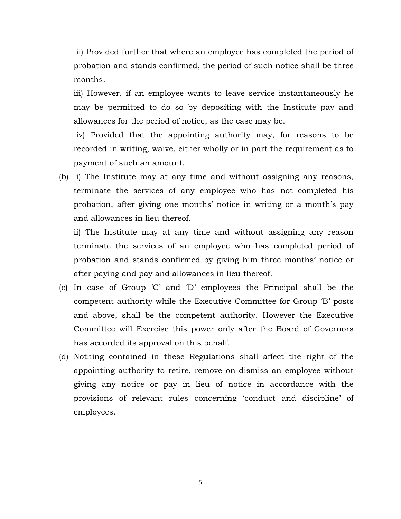ii) Provided further that where an employee has completed the period of probation and stands confirmed, the period of such notice shall be three months.

iii) However, if an employee wants to leave service instantaneously he may be permitted to do so by depositing with the Institute pay and allowances for the period of notice, as the case may be.

iv) Provided that the appointing authority may, for reasons to be recorded in writing, waive, either wholly or in part the requirement as to payment of such an amount.

(b) i) The Institute may at any time and without assigning any reasons, terminate the services of any employee who has not completed his probation, after giving one months' notice in writing or a month's pay and allowances in lieu thereof.

ii) The Institute may at any time and without assigning any reason terminate the services of an employee who has completed period of probation and stands confirmed by giving him three months' notice or after paying and pay and allowances in lieu thereof.

- (c) In case of Group 'C' and 'D' employees the Principal shall be the competent authority while the Executive Committee for Group 'B' posts and above, shall be the competent authority. However the Executive Committee will Exercise this power only after the Board of Governors has accorded its approval on this behalf.
- (d) Nothing contained in these Regulations shall affect the right of the appointing authority to retire, remove on dismiss an employee without giving any notice or pay in lieu of notice in accordance with the provisions of relevant rules concerning 'conduct and discipline' of employees.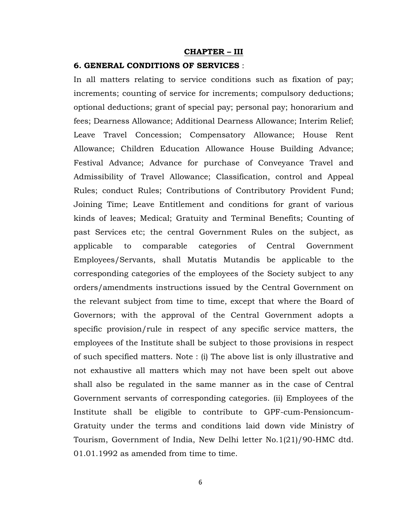#### **CHAPTER – III**

#### **6. GENERAL CONDITIONS OF SERVICES** :

In all matters relating to service conditions such as fixation of pay; increments; counting of service for increments; compulsory deductions; optional deductions; grant of special pay; personal pay; honorarium and fees; Dearness Allowance; Additional Dearness Allowance; Interim Relief; Leave Travel Concession; Compensatory Allowance; House Rent Allowance; Children Education Allowance House Building Advance; Festival Advance; Advance for purchase of Conveyance Travel and Admissibility of Travel Allowance; Classification, control and Appeal Rules; conduct Rules; Contributions of Contributory Provident Fund; Joining Time; Leave Entitlement and conditions for grant of various kinds of leaves; Medical; Gratuity and Terminal Benefits; Counting of past Services etc; the central Government Rules on the subject, as applicable to comparable categories of Central Government Employees/Servants, shall Mutatis Mutandis be applicable to the corresponding categories of the employees of the Society subject to any orders/amendments instructions issued by the Central Government on the relevant subject from time to time, except that where the Board of Governors; with the approval of the Central Government adopts a specific provision/rule in respect of any specific service matters, the employees of the Institute shall be subject to those provisions in respect of such specified matters. Note : (i) The above list is only illustrative and not exhaustive all matters which may not have been spelt out above shall also be regulated in the same manner as in the case of Central Government servants of corresponding categories. (ii) Employees of the Institute shall be eligible to contribute to GPF-cum-Pensioncum-Gratuity under the terms and conditions laid down vide Ministry of Tourism, Government of India, New Delhi letter No.1(21)/90-HMC dtd. 01.01.1992 as amended from time to time.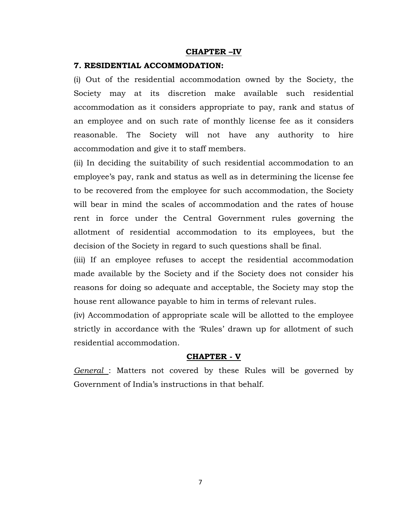#### **CHAPTER –IV**

#### **7. RESIDENTIAL ACCOMMODATION:**

(i) Out of the residential accommodation owned by the Society, the Society may at its discretion make available such residential accommodation as it considers appropriate to pay, rank and status of an employee and on such rate of monthly license fee as it considers reasonable. The Society will not have any authority to hire accommodation and give it to staff members.

(ii) In deciding the suitability of such residential accommodation to an employee's pay, rank and status as well as in determining the license fee to be recovered from the employee for such accommodation, the Society will bear in mind the scales of accommodation and the rates of house rent in force under the Central Government rules governing the allotment of residential accommodation to its employees, but the decision of the Society in regard to such questions shall be final.

(iii) If an employee refuses to accept the residential accommodation made available by the Society and if the Society does not consider his reasons for doing so adequate and acceptable, the Society may stop the house rent allowance payable to him in terms of relevant rules.

(iv) Accommodation of appropriate scale will be allotted to the employee strictly in accordance with the 'Rules' drawn up for allotment of such residential accommodation.

#### **CHAPTER - V**

*General* : Matters not covered by these Rules will be governed by Government of India's instructions in that behalf.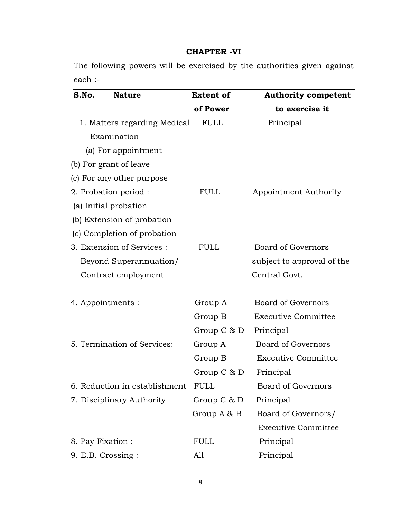## **CHAPTER -VI**

The following powers will be exercised by the authorities given against each :-

| S.No.<br><b>Nature</b>        | <b>Extent of</b> | <b>Authority competent</b> |
|-------------------------------|------------------|----------------------------|
|                               | of Power         | to exercise it             |
| 1. Matters regarding Medical  | <b>FULL</b>      | Principal                  |
| Examination                   |                  |                            |
| (a) For appointment           |                  |                            |
| (b) For grant of leave        |                  |                            |
| (c) For any other purpose     |                  |                            |
| 2. Probation period :         | <b>FULL</b>      | Appointment Authority      |
| (a) Initial probation         |                  |                            |
| (b) Extension of probation    |                  |                            |
| (c) Completion of probation   |                  |                            |
| 3. Extension of Services :    | <b>FULL</b>      | <b>Board of Governors</b>  |
| Beyond Superannuation/        |                  | subject to approval of the |
| Contract employment           |                  | Central Govt.              |
| 4. Appointments :             | Group A          | <b>Board of Governors</b>  |
|                               | Group B          | <b>Executive Committee</b> |
|                               | Group $C \& D$   | Principal                  |
| 5. Termination of Services:   | Group A          | <b>Board of Governors</b>  |
|                               | Group B          | <b>Executive Committee</b> |
|                               | Group $C$ & $D$  | Principal                  |
| 6. Reduction in establishment | <b>FULL</b>      | <b>Board of Governors</b>  |
| 7. Disciplinary Authority     | Group $C$ & $D$  | Principal                  |
|                               | Group A & B      | Board of Governors/        |
|                               |                  | <b>Executive Committee</b> |
| 8. Pay Fixation:              | <b>FULL</b>      | Principal                  |
| 9. E.B. Crossing:             | A11              | Principal                  |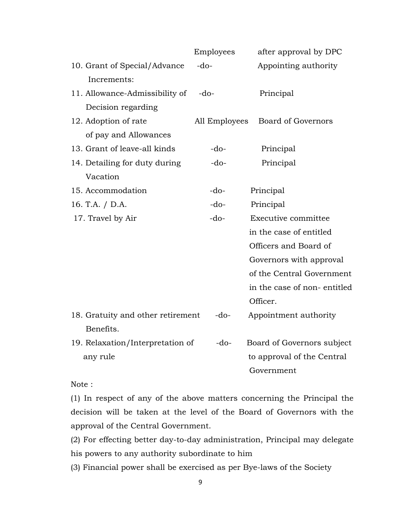|                                   | Employees     | after approval by DPC       |
|-----------------------------------|---------------|-----------------------------|
| 10. Grant of Special/Advance      | $-do-$        | Appointing authority        |
| Increments:                       |               |                             |
| 11. Allowance-Admissibility of    | $-do-$        | Principal                   |
| Decision regarding                |               |                             |
| 12. Adoption of rate              | All Employees | <b>Board of Governors</b>   |
| of pay and Allowances             |               |                             |
| 13. Grant of leave-all kinds      | $-do-$        | Principal                   |
| 14. Detailing for duty during     | $-do-$        | Principal                   |
| Vacation                          |               |                             |
| 15. Accommodation                 | $-do-$        | Principal                   |
| 16. T.A. / D.A.                   | $-do-$        | Principal                   |
| 17. Travel by Air                 | $-do-$        | Executive committee         |
|                                   |               | in the case of entitled     |
|                                   |               | Officers and Board of       |
|                                   |               | Governors with approval     |
|                                   |               | of the Central Government   |
|                                   |               | in the case of non-entitled |
|                                   |               | Officer.                    |
| 18. Gratuity and other retirement | $-do-$        | Appointment authority       |
| Benefits.                         |               |                             |
| 19. Relaxation/Interpretation of  | $-do-$        | Board of Governors subject  |
| any rule                          |               | to approval of the Central  |
|                                   |               | Government                  |

Note :

(1) In respect of any of the above matters concerning the Principal the decision will be taken at the level of the Board of Governors with the approval of the Central Government.

(2) For effecting better day-to-day administration, Principal may delegate his powers to any authority subordinate to him

(3) Financial power shall be exercised as per Bye-laws of the Society